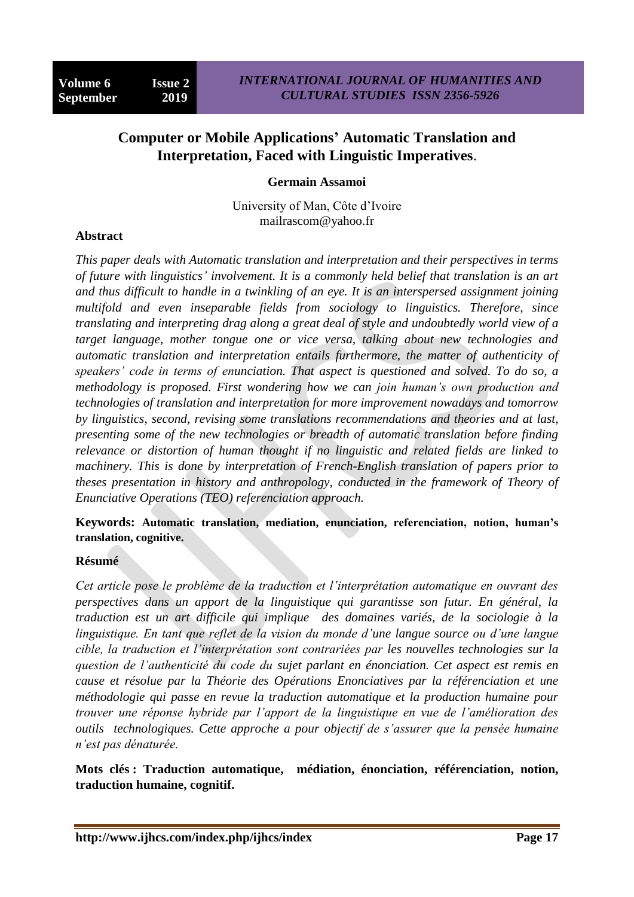# **Computer or Mobile Applications' Automatic Translation and Interpretation, Faced with Linguistic Imperatives**.

# **Germain Assamoi**

University of Man, Côte d"Ivoire mailrascom@yahoo.fr

# **Abstract**

*This paper deals with Automatic translation and interpretation and their perspectives in terms of future with linguistics' involvement. It is a commonly held belief that translation is an art and thus difficult to handle in a twinkling of an eye. It is an interspersed assignment joining multifold and even inseparable fields from sociology to linguistics. Therefore, since translating and interpreting drag along a great deal of style and undoubtedly world view of a target language, mother tongue one or vice versa, talking about new technologies and automatic translation and interpretation entails furthermore, the matter of authenticity of speakers' code in terms of enunciation. That aspect is questioned and solved. To do so, a methodology is proposed. First wondering how we can join human's own production and technologies of translation and interpretation for more improvement nowadays and tomorrow by linguistics, second, revising some translations recommendations and theories and at last, presenting some of the new technologies or breadth of automatic translation before finding relevance or distortion of human thought if no linguistic and related fields are linked to machinery. This is done by interpretation of French-English translation of papers prior to theses presentation in history and anthropology, conducted in the framework of Theory of Enunciative Operations (TEO) referenciation approach.* 

# **Keywords: Automatic translation, mediation, enunciation, referenciation, notion, human's translation, cognitive.**

# **Résumé**

*Cet article pose le problème de la traduction et l'interprétation automatique en ouvrant des perspectives dans un apport de la linguistique qui garantisse son futur. En général, la traduction est un art difficile qui implique des domaines variés, de la sociologie à la linguistique. En tant que reflet de la vision du monde d'une langue source ou d'une langue cible, la traduction et l'interprétation sont contrariées par les nouvelles technologies sur la question de l'authenticité du code du sujet parlant en énonciation. Cet aspect est remis en cause et résolue par la Théorie des Opérations Enonciatives par la référenciation et une méthodologie qui passe en revue la traduction automatique et la production humaine pour trouver une réponse hybride par l'apport de la linguistique en vue de l'amélioration des outils technologiques. Cette approche a pour objectif de s'assurer que la pensée humaine n'est pas dénaturée.*

**Mots clés : Traduction automatique, médiation, énonciation, référenciation, notion, traduction humaine, cognitif.**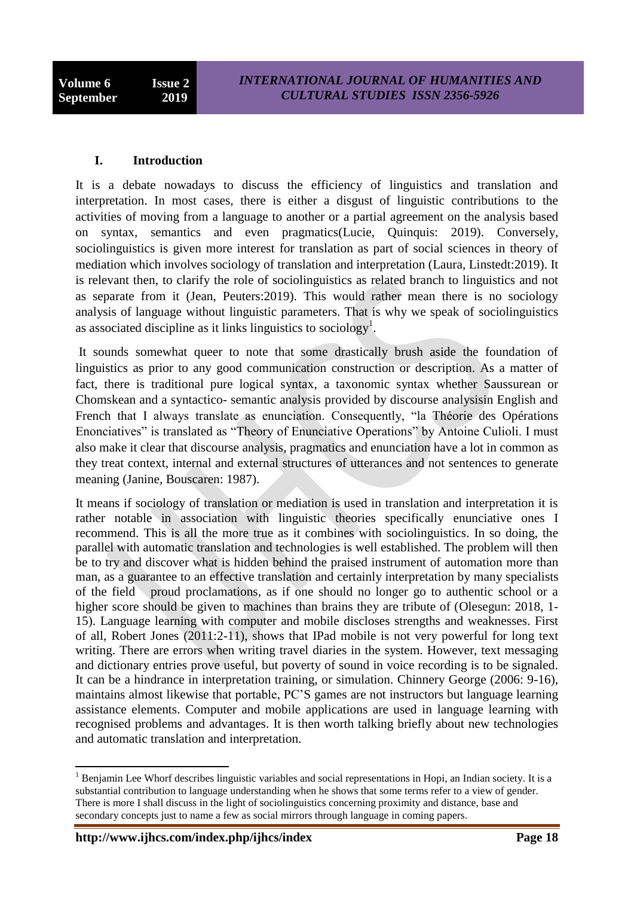# **I. Introduction**

It is a debate nowadays to discuss the efficiency of linguistics and translation and interpretation. In most cases, there is either a disgust of linguistic contributions to the activities of moving from a language to another or a partial agreement on the analysis based on syntax, semantics and even pragmatics(Lucie, Quinquis: 2019). Conversely, sociolinguistics is given more interest for translation as part of social sciences in theory of mediation which involves sociology of translation and interpretation (Laura, Linstedt:2019). It is relevant then, to clarify the role of sociolinguistics as related branch to linguistics and not as separate from it (Jean, Peuters:2019). This would rather mean there is no sociology analysis of language without linguistic parameters. That is why we speak of sociolinguistics as associated discipline as it links linguistics to sociology<sup>1</sup>.

It sounds somewhat queer to note that some drastically brush aside the foundation of linguistics as prior to any good communication construction or description. As a matter of fact, there is traditional pure logical syntax, a taxonomic syntax whether Saussurean or Chomskean and a syntactico- semantic analysis provided by discourse analysisin English and French that I always translate as enunciation. Consequently, "la Théorie des Opérations Enonciatives" is translated as "Theory of Enunciative Operations" by Antoine Culioli. I must also make it clear that discourse analysis, pragmatics and enunciation have a lot in common as they treat context, internal and external structures of utterances and not sentences to generate meaning (Janine, Bouscaren: 1987).

It means if sociology of translation or mediation is used in translation and interpretation it is rather notable in association with linguistic theories specifically enunciative ones I recommend. This is all the more true as it combines with sociolinguistics. In so doing, the parallel with automatic translation and technologies is well established. The problem will then be to try and discover what is hidden behind the praised instrument of automation more than man, as a guarantee to an effective translation and certainly interpretation by many specialists of the field proud proclamations, as if one should no longer go to authentic school or a higher score should be given to machines than brains they are tribute of (Olesegun: 2018, 1- 15). Language learning with computer and mobile discloses strengths and weaknesses. First of all, Robert Jones (2011:2-11), shows that IPad mobile is not very powerful for long text writing. There are errors when writing travel diaries in the system. However, text messaging and dictionary entries prove useful, but poverty of sound in voice recording is to be signaled. It can be a hindrance in interpretation training, or simulation. Chinnery George (2006: 9-16), maintains almost likewise that portable, PC"S games are not instructors but language learning assistance elements. Computer and mobile applications are used in language learning with recognised problems and advantages. It is then worth talking briefly about new technologies and automatic translation and interpretation.

 $\overline{\phantom{a}}$ 

 $1$  Benjamin Lee Whorf describes linguistic variables and social representations in Hopi, an Indian society. It is a substantial contribution to language understanding when he shows that some terms refer to a view of gender. There is more I shall discuss in the light of sociolinguistics concerning proximity and distance, base and secondary concepts just to name a few as social mirrors through language in coming papers.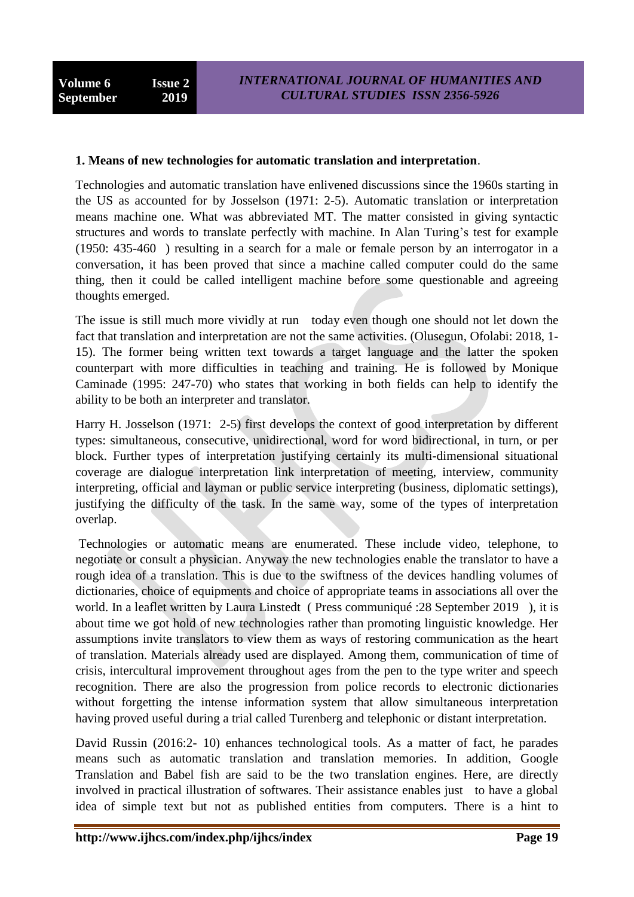#### **1. Means of new technologies for automatic translation and interpretation**.

Technologies and automatic translation have enlivened discussions since the 1960s starting in the US as accounted for by Josselson (1971: 2-5). Automatic translation or interpretation means machine one. What was abbreviated MT. The matter consisted in giving syntactic structures and words to translate perfectly with machine. In Alan Turing"s test for example (1950: 435-460 ) resulting in a search for a male or female person by an interrogator in a conversation, it has been proved that since a machine called computer could do the same thing, then it could be called intelligent machine before some questionable and agreeing thoughts emerged.

The issue is still much more vividly at run today even though one should not let down the fact that translation and interpretation are not the same activities. (Olusegun, Ofolabi: 2018, 1- 15). The former being written text towards a target language and the latter the spoken counterpart with more difficulties in teaching and training. He is followed by Monique Caminade (1995: 247-70) who states that working in both fields can help to identify the ability to be both an interpreter and translator.

Harry H. Josselson (1971: 2-5) first develops the context of good interpretation by different types: simultaneous, consecutive, unidirectional, word for word bidirectional, in turn, or per block. Further types of interpretation justifying certainly its multi-dimensional situational coverage are dialogue interpretation link interpretation of meeting, interview, community interpreting, official and layman or public service interpreting (business, diplomatic settings), justifying the difficulty of the task. In the same way, some of the types of interpretation overlap.

Technologies or automatic means are enumerated. These include video, telephone, to negotiate or consult a physician. Anyway the new technologies enable the translator to have a rough idea of a translation. This is due to the swiftness of the devices handling volumes of dictionaries, choice of equipments and choice of appropriate teams in associations all over the world. In a leaflet written by Laura Linstedt ( Press communiqué :28 September 2019 ), it is about time we got hold of new technologies rather than promoting linguistic knowledge. Her assumptions invite translators to view them as ways of restoring communication as the heart of translation. Materials already used are displayed. Among them, communication of time of crisis, intercultural improvement throughout ages from the pen to the type writer and speech recognition. There are also the progression from police records to electronic dictionaries without forgetting the intense information system that allow simultaneous interpretation having proved useful during a trial called Turenberg and telephonic or distant interpretation.

David Russin (2016:2- 10) enhances technological tools. As a matter of fact, he parades means such as automatic translation and translation memories. In addition, Google Translation and Babel fish are said to be the two translation engines. Here, are directly involved in practical illustration of softwares. Their assistance enables just to have a global idea of simple text but not as published entities from computers. There is a hint to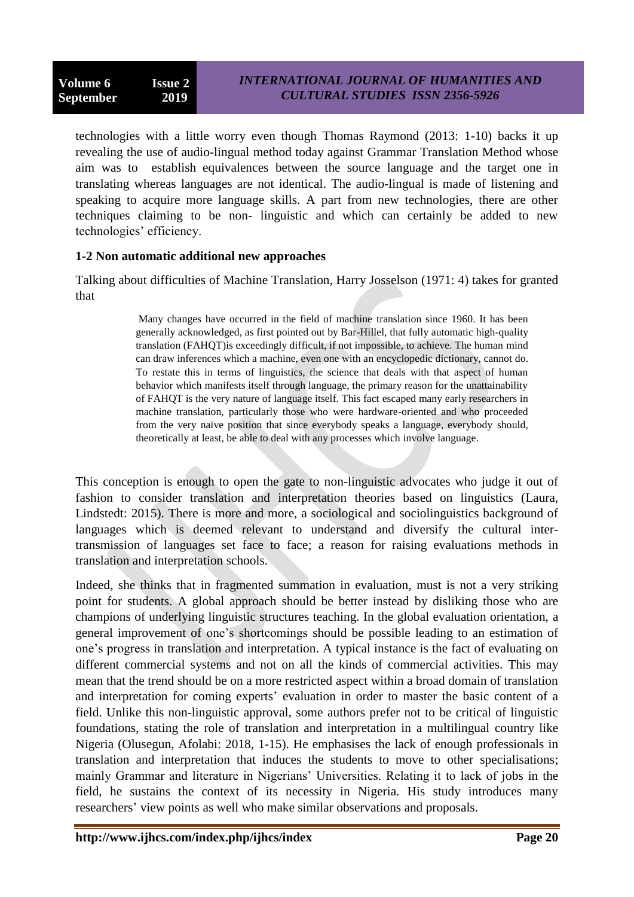technologies with a little worry even though Thomas Raymond (2013: 1-10) backs it up revealing the use of audio-lingual method today against Grammar Translation Method whose aim was to establish equivalences between the source language and the target one in translating whereas languages are not identical. The audio-lingual is made of listening and speaking to acquire more language skills. A part from new technologies, there are other techniques claiming to be non- linguistic and which can certainly be added to new technologies' efficiency.

# **1-2 Non automatic additional new approaches**

Talking about difficulties of Machine Translation, Harry Josselson (1971: 4) takes for granted that

> Many changes have occurred in the field of machine translation since 1960. It has been generally acknowledged, as first pointed out by Bar-Hillel, that fully automatic high-quality translation (FAHQT)is exceedingly difficult, if not impossible, to achieve. The human mind can draw inferences which a machine, even one with an encyclopedic dictionary, cannot do. To restate this in terms of linguistics, the science that deals with that aspect of human behavior which manifests itself through language, the primary reason for the unattainability of FAHQT is the very nature of language itself. This fact escaped many early researchers in machine translation, particularly those who were hardware-oriented and who proceeded from the very naïve position that since everybody speaks a language, everybody should, theoretically at least, be able to deal with any processes which involve language.

This conception is enough to open the gate to non-linguistic advocates who judge it out of fashion to consider translation and interpretation theories based on linguistics (Laura, Lindstedt: 2015). There is more and more, a sociological and sociolinguistics background of languages which is deemed relevant to understand and diversify the cultural intertransmission of languages set face to face; a reason for raising evaluations methods in translation and interpretation schools.

Indeed, she thinks that in fragmented summation in evaluation, must is not a very striking point for students. A global approach should be better instead by disliking those who are champions of underlying linguistic structures teaching. In the global evaluation orientation, a general improvement of one"s shortcomings should be possible leading to an estimation of one"s progress in translation and interpretation. A typical instance is the fact of evaluating on different commercial systems and not on all the kinds of commercial activities. This may mean that the trend should be on a more restricted aspect within a broad domain of translation and interpretation for coming experts' evaluation in order to master the basic content of a field. Unlike this non-linguistic approval, some authors prefer not to be critical of linguistic foundations, stating the role of translation and interpretation in a multilingual country like Nigeria (Olusegun, Afolabi: 2018, 1-15). He emphasises the lack of enough professionals in translation and interpretation that induces the students to move to other specialisations; mainly Grammar and literature in Nigerians" Universities. Relating it to lack of jobs in the field, he sustains the context of its necessity in Nigeria. His study introduces many researchers' view points as well who make similar observations and proposals.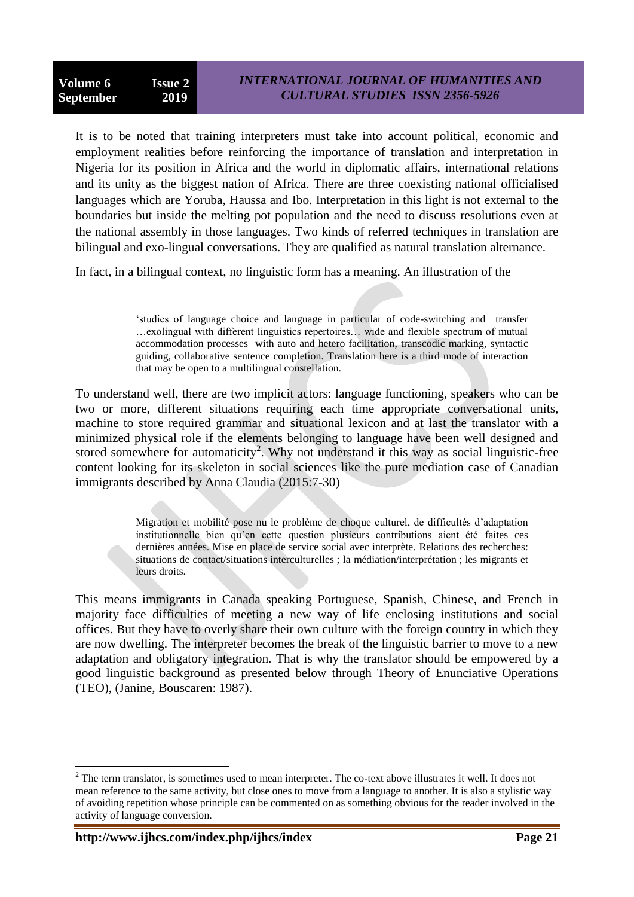It is to be noted that training interpreters must take into account political, economic and employment realities before reinforcing the importance of translation and interpretation in Nigeria for its position in Africa and the world in diplomatic affairs, international relations and its unity as the biggest nation of Africa. There are three coexisting national officialised languages which are Yoruba, Haussa and Ibo. Interpretation in this light is not external to the boundaries but inside the melting pot population and the need to discuss resolutions even at the national assembly in those languages. Two kinds of referred techniques in translation are bilingual and exo-lingual conversations. They are qualified as natural translation alternance.

In fact, in a bilingual context, no linguistic form has a meaning. An illustration of the

"studies of language choice and language in particular of code-switching and transfer …exolingual with different linguistics repertoires… wide and flexible spectrum of mutual accommodation processes with auto and hetero facilitation, transcodic marking, syntactic guiding, collaborative sentence completion. Translation here is a third mode of interaction that may be open to a multilingual constellation.

To understand well, there are two implicit actors: language functioning, speakers who can be two or more, different situations requiring each time appropriate conversational units, machine to store required grammar and situational lexicon and at last the translator with a minimized physical role if the elements belonging to language have been well designed and stored somewhere for automaticity<sup>2</sup>. Why not understand it this way as social linguistic-free content looking for its skeleton in social sciences like the pure mediation case of Canadian immigrants described by Anna Claudia (2015:7-30)

> Migration et mobilité pose nu le problème de choque culturel, de difficultés d"adaptation institutionnelle bien qu"en cette question plusieurs contributions aient été faites ces dernières années. Mise en place de service social avec interprète. Relations des recherches: situations de contact/situations interculturelles ; la médiation/interprétation ; les migrants et leurs droits.

This means immigrants in Canada speaking Portuguese, Spanish, Chinese, and French in majority face difficulties of meeting a new way of life enclosing institutions and social offices. But they have to overly share their own culture with the foreign country in which they are now dwelling. The interpreter becomes the break of the linguistic barrier to move to a new adaptation and obligatory integration. That is why the translator should be empowered by a good linguistic background as presented below through Theory of Enunciative Operations (TEO), (Janine, Bouscaren: 1987).

 $\overline{\phantom{a}}$ 

 $2^2$  The term translator, is sometimes used to mean interpreter. The co-text above illustrates it well. It does not mean reference to the same activity, but close ones to move from a language to another. It is also a stylistic way of avoiding repetition whose principle can be commented on as something obvious for the reader involved in the activity of language conversion.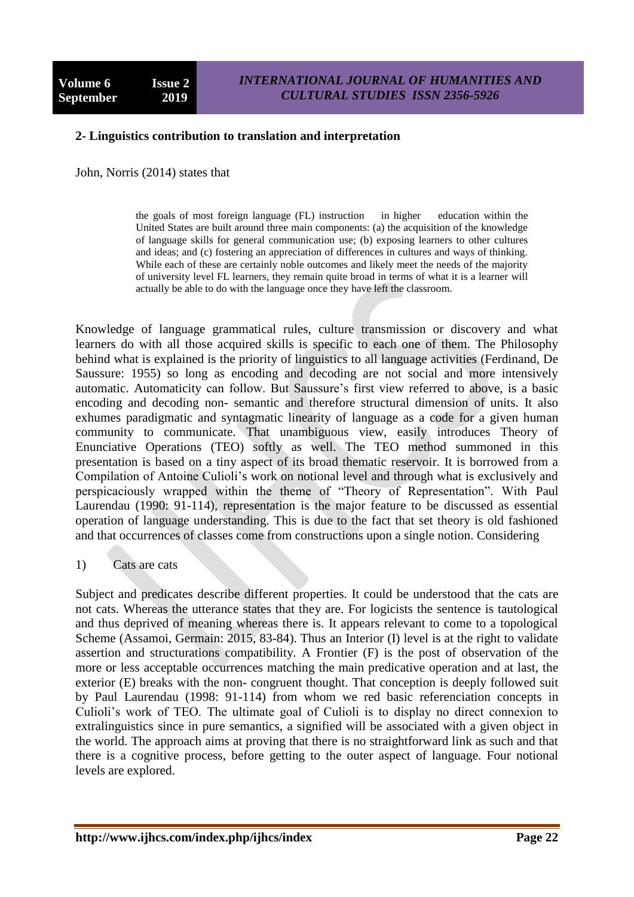#### **2- Linguistics contribution to translation and interpretation**

John, Norris (2014) states that

the goals of most foreign language (FL) instruction in higher education within the United States are built around three main components: (a) the acquisition of the knowledge of language skills for general communication use; (b) exposing learners to other cultures and ideas; and (c) fostering an appreciation of differences in cultures and ways of thinking. While each of these are certainly noble outcomes and likely meet the needs of the majority of university level FL learners, they remain quite broad in terms of what it is a learner will actually be able to do with the language once they have left the classroom.

Knowledge of language grammatical rules, culture transmission or discovery and what learners do with all those acquired skills is specific to each one of them. The Philosophy behind what is explained is the priority of linguistics to all language activities (Ferdinand, De Saussure: 1955) so long as encoding and decoding are not social and more intensively automatic. Automaticity can follow. But Saussure"s first view referred to above, is a basic encoding and decoding non- semantic and therefore structural dimension of units. It also exhumes paradigmatic and syntagmatic linearity of language as a code for a given human community to communicate. That unambiguous view, easily introduces Theory of Enunciative Operations (TEO) softly as well. The TEO method summoned in this presentation is based on a tiny aspect of its broad thematic reservoir. It is borrowed from a Compilation of Antoine Culioli"s work on notional level and through what is exclusively and perspicaciously wrapped within the theme of "Theory of Representation". With Paul Laurendau (1990: 91-114), representation is the major feature to be discussed as essential operation of language understanding. This is due to the fact that set theory is old fashioned and that occurrences of classes come from constructions upon a single notion. Considering

#### 1) Cats are cats

Subject and predicates describe different properties. It could be understood that the cats are not cats. Whereas the utterance states that they are. For logicists the sentence is tautological and thus deprived of meaning whereas there is. It appears relevant to come to a topological Scheme (Assamoi, Germain: 2015, 83-84). Thus an Interior (I) level is at the right to validate assertion and structurations compatibility. A Frontier (F) is the post of observation of the more or less acceptable occurrences matching the main predicative operation and at last, the exterior (E) breaks with the non- congruent thought. That conception is deeply followed suit by Paul Laurendau (1998: 91-114) from whom we red basic referenciation concepts in Culioli"s work of TEO. The ultimate goal of Culioli is to display no direct connexion to extralinguistics since in pure semantics, a signified will be associated with a given object in the world. The approach aims at proving that there is no straightforward link as such and that there is a cognitive process, before getting to the outer aspect of language. Four notional levels are explored.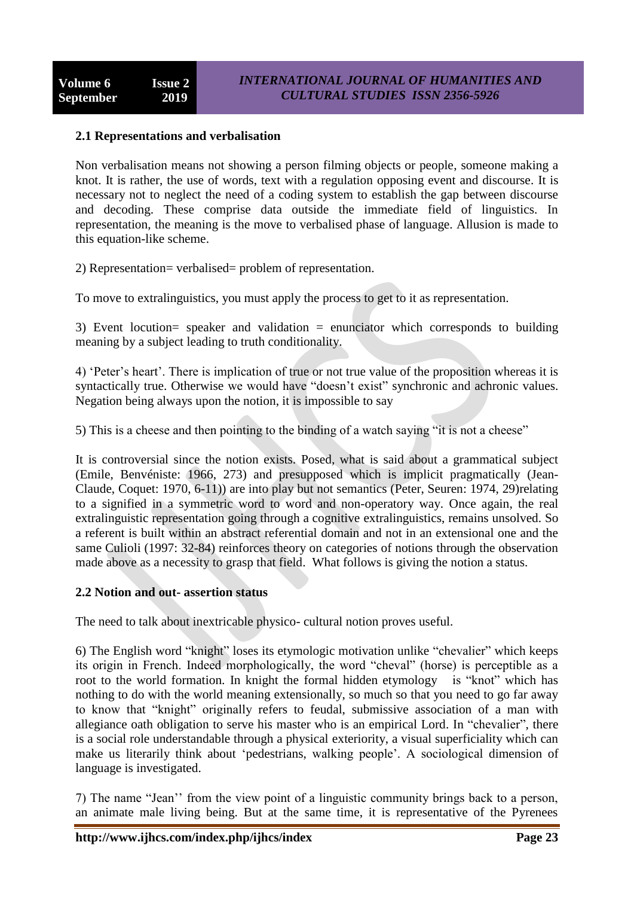# **2.1 Representations and verbalisation**

Non verbalisation means not showing a person filming objects or people, someone making a knot. It is rather, the use of words, text with a regulation opposing event and discourse. It is necessary not to neglect the need of a coding system to establish the gap between discourse and decoding. These comprise data outside the immediate field of linguistics. In representation, the meaning is the move to verbalised phase of language. Allusion is made to this equation-like scheme.

2) Representation= verbalised= problem of representation.

To move to extralinguistics, you must apply the process to get to it as representation.

3) Event locution= speaker and validation = enunciator which corresponds to building meaning by a subject leading to truth conditionality.

4) "Peter"s heart". There is implication of true or not true value of the proposition whereas it is syntactically true. Otherwise we would have "doesn't exist" synchronic and achronic values. Negation being always upon the notion, it is impossible to say

5) This is a cheese and then pointing to the binding of a watch saying "it is not a cheese"

It is controversial since the notion exists. Posed, what is said about a grammatical subject (Emile, Benvéniste: 1966, 273) and presupposed which is implicit pragmatically (Jean-Claude, Coquet: 1970, 6-11)) are into play but not semantics (Peter, Seuren: 1974, 29)relating to a signified in a symmetric word to word and non-operatory way. Once again, the real extralinguistic representation going through a cognitive extralinguistics, remains unsolved. So a referent is built within an abstract referential domain and not in an extensional one and the same Culioli (1997: 32-84) reinforces theory on categories of notions through the observation made above as a necessity to grasp that field. What follows is giving the notion a status.

#### **2.2 Notion and out- assertion status**

The need to talk about inextricable physico- cultural notion proves useful.

6) The English word "knight" loses its etymologic motivation unlike "chevalier" which keeps its origin in French. Indeed morphologically, the word "cheval" (horse) is perceptible as a root to the world formation. In knight the formal hidden etymology is "knot" which has nothing to do with the world meaning extensionally, so much so that you need to go far away to know that "knight" originally refers to feudal, submissive association of a man with allegiance oath obligation to serve his master who is an empirical Lord. In "chevalier", there is a social role understandable through a physical exteriority, a visual superficiality which can make us literarily think about "pedestrians, walking people". A sociological dimension of language is investigated.

7) The name "Jean"" from the view point of a linguistic community brings back to a person, an animate male living being. But at the same time, it is representative of the Pyrenees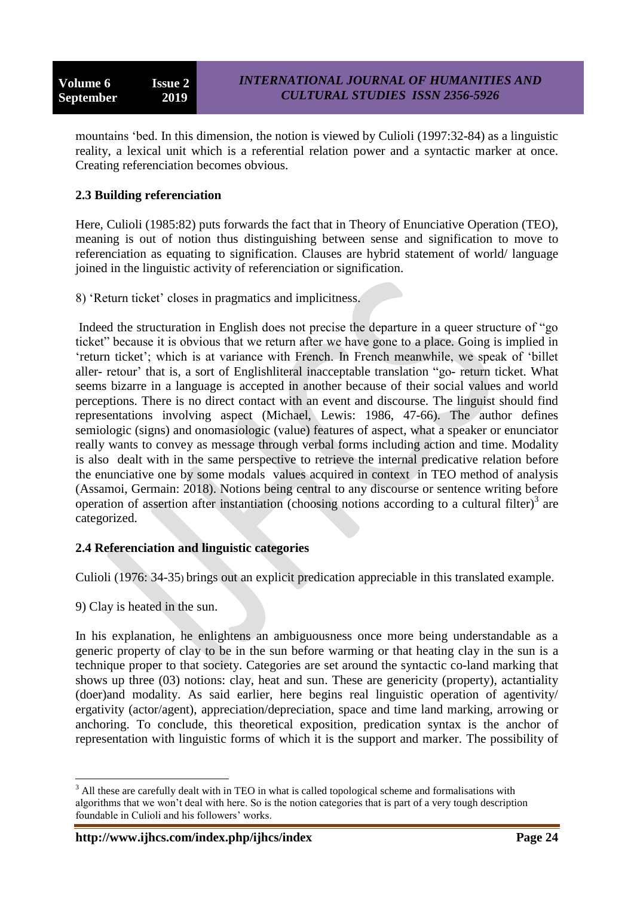mountains "bed. In this dimension, the notion is viewed by Culioli (1997:32-84) as a linguistic reality, a lexical unit which is a referential relation power and a syntactic marker at once. Creating referenciation becomes obvious.

# **2.3 Building referenciation**

Here, Culioli (1985:82) puts forwards the fact that in Theory of Enunciative Operation (TEO), meaning is out of notion thus distinguishing between sense and signification to move to referenciation as equating to signification. Clauses are hybrid statement of world/ language joined in the linguistic activity of referenciation or signification.

8) "Return ticket" closes in pragmatics and implicitness.

Indeed the structuration in English does not precise the departure in a queer structure of "go ticket" because it is obvious that we return after we have gone to a place. Going is implied in 'return ticket'; which is at variance with French. In French meanwhile, we speak of 'billet aller- retour' that is, a sort of Englishliteral inacceptable translation "go- return ticket. What seems bizarre in a language is accepted in another because of their social values and world perceptions. There is no direct contact with an event and discourse. The linguist should find representations involving aspect (Michael, Lewis: 1986, 47-66). The author defines semiologic (signs) and onomasiologic (value) features of aspect, what a speaker or enunciator really wants to convey as message through verbal forms including action and time. Modality is also dealt with in the same perspective to retrieve the internal predicative relation before the enunciative one by some modals values acquired in context in TEO method of analysis (Assamoi, Germain: 2018). Notions being central to any discourse or sentence writing before operation of assertion after instantiation (choosing notions according to a cultural filter)<sup>3</sup> are categorized.

# **2.4 Referenciation and linguistic categories**

Culioli (1976: 34-35) brings out an explicit predication appreciable in this translated example.

9) Clay is heated in the sun.

 $\overline{a}$ 

In his explanation, he enlightens an ambiguousness once more being understandable as a generic property of clay to be in the sun before warming or that heating clay in the sun is a technique proper to that society. Categories are set around the syntactic co-land marking that shows up three (03) notions: clay, heat and sun. These are genericity (property), actantiality (doer)and modality. As said earlier, here begins real linguistic operation of agentivity/ ergativity (actor/agent), appreciation/depreciation, space and time land marking, arrowing or anchoring. To conclude, this theoretical exposition, predication syntax is the anchor of representation with linguistic forms of which it is the support and marker. The possibility of

<sup>&</sup>lt;sup>3</sup> All these are carefully dealt with in TEO in what is called topological scheme and formalisations with algorithms that we won"t deal with here. So is the notion categories that is part of a very tough description foundable in Culioli and his followers' works.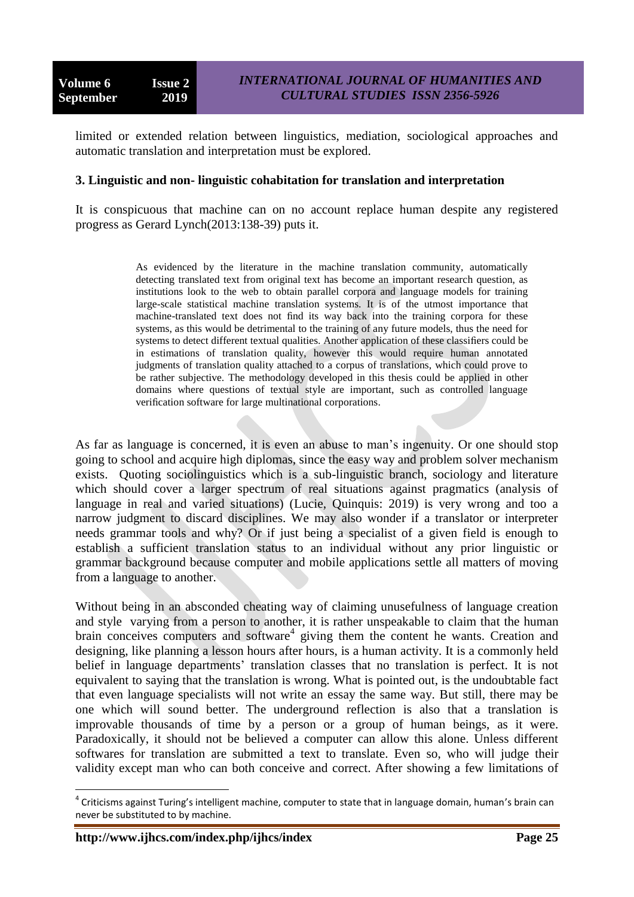limited or extended relation between linguistics, mediation, sociological approaches and automatic translation and interpretation must be explored.

#### **3. Linguistic and non- linguistic cohabitation for translation and interpretation**

It is conspicuous that machine can on no account replace human despite any registered progress as Gerard Lynch(2013:138-39) puts it.

> As evidenced by the literature in the machine translation community, automatically detecting translated text from original text has become an important research question, as institutions look to the web to obtain parallel corpora and language models for training large-scale statistical machine translation systems. It is of the utmost importance that machine-translated text does not find its way back into the training corpora for these systems, as this would be detrimental to the training of any future models, thus the need for systems to detect different textual qualities. Another application of these classifiers could be in estimations of translation quality, however this would require human annotated judgments of translation quality attached to a corpus of translations, which could prove to be rather subjective. The methodology developed in this thesis could be applied in other domains where questions of textual style are important, such as controlled language verification software for large multinational corporations.

As far as language is concerned, it is even an abuse to man"s ingenuity. Or one should stop going to school and acquire high diplomas, since the easy way and problem solver mechanism exists. Quoting sociolinguistics which is a sub-linguistic branch, sociology and literature which should cover a larger spectrum of real situations against pragmatics (analysis of language in real and varied situations) (Lucie, Quinquis: 2019) is very wrong and too a narrow judgment to discard disciplines. We may also wonder if a translator or interpreter needs grammar tools and why? Or if just being a specialist of a given field is enough to establish a sufficient translation status to an individual without any prior linguistic or grammar background because computer and mobile applications settle all matters of moving from a language to another.

Without being in an absconded cheating way of claiming unusefulness of language creation and style varying from a person to another, it is rather unspeakable to claim that the human brain conceives computers and software<sup>4</sup> giving them the content he wants. Creation and designing, like planning a lesson hours after hours, is a human activity. It is a commonly held belief in language departments' translation classes that no translation is perfect. It is not equivalent to saying that the translation is wrong. What is pointed out, is the undoubtable fact that even language specialists will not write an essay the same way. But still, there may be one which will sound better. The underground reflection is also that a translation is improvable thousands of time by a person or a group of human beings, as it were. Paradoxically, it should not be believed a computer can allow this alone. Unless different softwares for translation are submitted a text to translate. Even so, who will judge their validity except man who can both conceive and correct. After showing a few limitations of

 $\overline{a}$ 

<sup>&</sup>lt;sup>4</sup> Criticisms against Turing's intelligent machine, computer to state that in language domain, human's brain can never be substituted to by machine.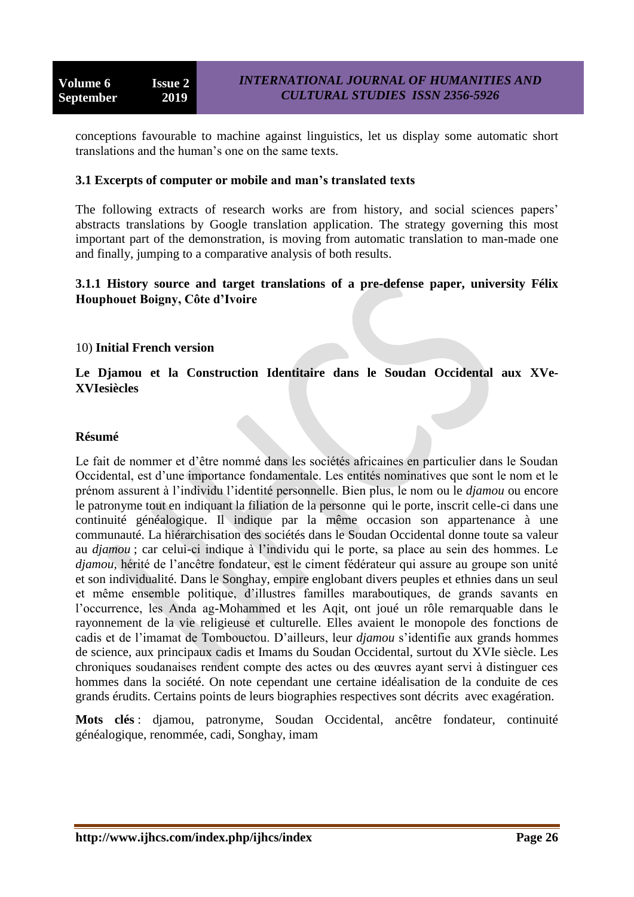conceptions favourable to machine against linguistics, let us display some automatic short translations and the human"s one on the same texts.

#### **3.1 Excerpts of computer or mobile and man's translated texts**

The following extracts of research works are from history, and social sciences papers' abstracts translations by Google translation application. The strategy governing this most important part of the demonstration, is moving from automatic translation to man-made one and finally, jumping to a comparative analysis of both results.

# **3.1.1 History source and target translations of a pre-defense paper, university Félix Houphouet Boigny, Côte d'Ivoire**

# 10) **Initial French version**

# **Le Djamou et la Construction Identitaire dans le Soudan Occidental aux XVe-XVIesiècles**

#### **Résumé**

Le fait de nommer et d"être nommé dans les sociétés africaines en particulier dans le Soudan Occidental, est d"une importance fondamentale. Les entités nominatives que sont le nom et le prénom assurent à l"individu l"identité personnelle. Bien plus, le nom ou le *djamou* ou encore le patronyme tout en indiquant la filiation de la personne qui le porte, inscrit celle-ci dans une continuité généalogique. Il indique par la même occasion son appartenance à une communauté. La hiérarchisation des sociétés dans le Soudan Occidental donne toute sa valeur au *djamou* ; car celui-ci indique à l"individu qui le porte, sa place au sein des hommes. Le *djamou,* hérité de l"ancêtre fondateur, est le ciment fédérateur qui assure au groupe son unité et son individualité. Dans le Songhay, empire englobant divers peuples et ethnies dans un seul et même ensemble politique, d"illustres familles maraboutiques, de grands savants en l"occurrence, les Anda ag-Mohammed et les Aqit, ont joué un rôle remarquable dans le rayonnement de la vie religieuse et culturelle. Elles avaient le monopole des fonctions de cadis et de l"imamat de Tombouctou. D"ailleurs, leur *djamou* s"identifie aux grands hommes de science, aux principaux cadis et Imams du Soudan Occidental, surtout du XVIe siècle. Les chroniques soudanaises rendent compte des actes ou des œuvres ayant servi à distinguer ces hommes dans la société. On note cependant une certaine idéalisation de la conduite de ces grands érudits. Certains points de leurs biographies respectives sont décrits avec exagération.

**Mots clés** : djamou, patronyme, Soudan Occidental, ancêtre fondateur, continuité généalogique, renommée, cadi, Songhay, imam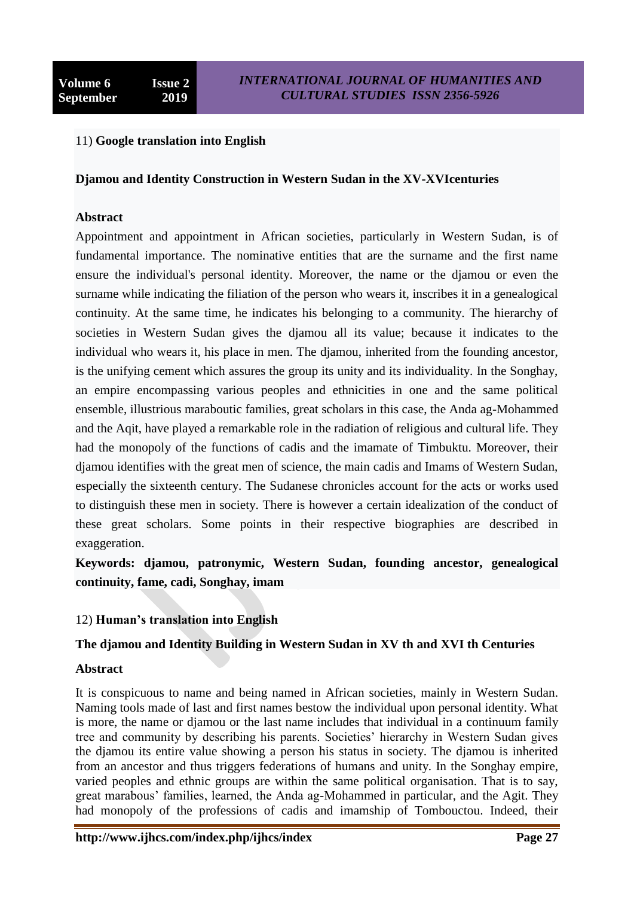# 11) **Google translation into English**

#### **Djamou and Identity Construction in Western Sudan in the XV-XVIcenturies**

#### **Abstract**

Appointment and appointment in African societies, particularly in Western Sudan, is of fundamental importance. The nominative entities that are the surname and the first name ensure the individual's personal identity. Moreover, the name or the djamou or even the surname while indicating the filiation of the person who wears it, inscribes it in a genealogical continuity. At the same time, he indicates his belonging to a community. The hierarchy of societies in Western Sudan gives the djamou all its value; because it indicates to the individual who wears it, his place in men. The djamou, inherited from the founding ancestor, is the unifying cement which assures the group its unity and its individuality. In the Songhay, an empire encompassing various peoples and ethnicities in one and the same political ensemble, illustrious maraboutic families, great scholars in this case, the Anda ag-Mohammed and the Aqit, have played a remarkable role in the radiation of religious and cultural life. They had the monopoly of the functions of cadis and the imamate of Timbuktu. Moreover, their djamou identifies with the great men of science, the main cadis and Imams of Western Sudan, especially the sixteenth century. The Sudanese chronicles account for the acts or works used to distinguish these men in society. There is however a certain idealization of the conduct of these great scholars. Some points in their respective biographies are described in exaggeration.

**Keywords: djamou, patronymic, Western Sudan, founding ancestor, genealogical continuity, fame, cadi, Songhay, imam**

# 12) **Human's translation into English**

# **The djamou and Identity Building in Western Sudan in XV th and XVI th Centuries**

#### **Abstract**

It is conspicuous to name and being named in African societies, mainly in Western Sudan. Naming tools made of last and first names bestow the individual upon personal identity. What is more, the name or djamou or the last name includes that individual in a continuum family tree and community by describing his parents. Societies" hierarchy in Western Sudan gives the djamou its entire value showing a person his status in society. The djamou is inherited from an ancestor and thus triggers federations of humans and unity. In the Songhay empire, varied peoples and ethnic groups are within the same political organisation. That is to say, great marabous' families, learned, the Anda ag-Mohammed in particular, and the Agit. They had monopoly of the professions of cadis and imamship of Tombouctou. Indeed, their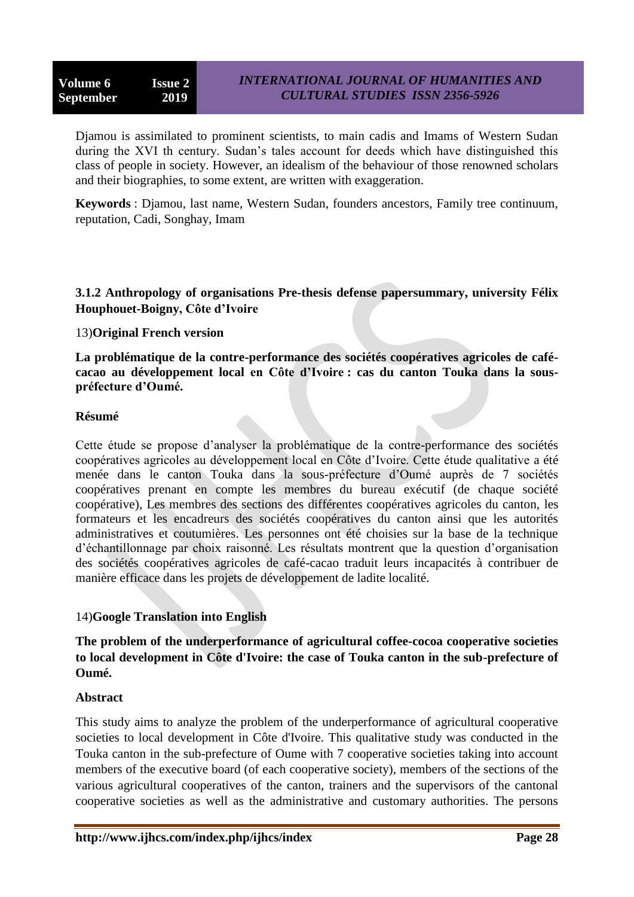Djamou is assimilated to prominent scientists, to main cadis and Imams of Western Sudan during the XVI th century. Sudan"s tales account for deeds which have distinguished this class of people in society. However, an idealism of the behaviour of those renowned scholars and their biographies, to some extent, are written with exaggeration.

**Keywords** : Djamou, last name, Western Sudan, founders ancestors, Family tree continuum, reputation, Cadi, Songhay, Imam

# **3.1.2 Anthropology of organisations Pre-thesis defense papersummary, university Félix Houphouet-Boigny, Côte d'Ivoire**

# 13)**Original French version**

**La problématique de la contre-performance des sociétés coopératives agricoles de cafécacao au développement local en Côte d'Ivoire : cas du canton Touka dans la souspréfecture d'Oumé.**

# **Résumé**

Cette étude se propose d"analyser la problématique de la contre-performance des sociétés coopératives agricoles au développement local en Côte d"Ivoire. Cette étude qualitative a été menée dans le canton Touka dans la sous-préfecture d"Oumé auprès de 7 sociétés coopératives prenant en compte les membres du bureau exécutif (de chaque société coopérative), Les membres des sections des différentes coopératives agricoles du canton, les formateurs et les encadreurs des sociétés coopératives du canton ainsi que les autorités administratives et coutumières. Les personnes ont été choisies sur la base de la technique d"échantillonnage par choix raisonné. Les résultats montrent que la question d"organisation des sociétés coopératives agricoles de café-cacao traduit leurs incapacités à contribuer de manière efficace dans les projets de développement de ladite localité.

# 14)**Google Translation into English**

**The problem of the underperformance of agricultural coffee-cocoa cooperative societies to local development in Côte d'Ivoire: the case of Touka canton in the sub-prefecture of Oumé.**

# **Abstract**

This study aims to analyze the problem of the underperformance of agricultural cooperative societies to local development in Côte d'Ivoire. This qualitative study was conducted in the Touka canton in the sub-prefecture of Oume with 7 cooperative societies taking into account members of the executive board (of each cooperative society), members of the sections of the various agricultural cooperatives of the canton, trainers and the supervisors of the cantonal cooperative societies as well as the administrative and customary authorities. The persons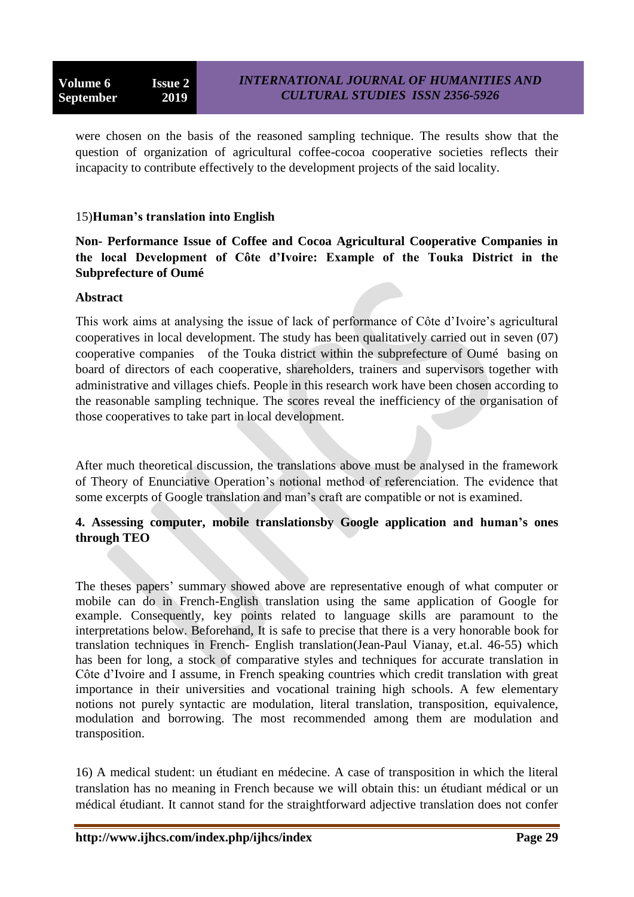were chosen on the basis of the reasoned sampling technique. The results show that the question of organization of agricultural coffee-cocoa cooperative societies reflects their incapacity to contribute effectively to the development projects of the said locality.

# 15)**Human's translation into English**

**Non- Performance Issue of Coffee and Cocoa Agricultural Cooperative Companies in the local Development of Côte d'Ivoire: Example of the Touka District in the Subprefecture of Oumé**

#### **Abstract**

This work aims at analysing the issue of lack of performance of Côte d"Ivoire"s agricultural cooperatives in local development. The study has been qualitatively carried out in seven (07) cooperative companies of the Touka district within the subprefecture of Oumé basing on board of directors of each cooperative, shareholders, trainers and supervisors together with administrative and villages chiefs. People in this research work have been chosen according to the reasonable sampling technique. The scores reveal the inefficiency of the organisation of those cooperatives to take part in local development.

After much theoretical discussion, the translations above must be analysed in the framework of Theory of Enunciative Operation"s notional method of referenciation. The evidence that some excerpts of Google translation and man"s craft are compatible or not is examined.

# **4. Assessing computer, mobile translationsby Google application and human's ones through TEO**

The theses papers" summary showed above are representative enough of what computer or mobile can do in French-English translation using the same application of Google for example. Consequently, key points related to language skills are paramount to the interpretations below. Beforehand, It is safe to precise that there is a very honorable book for translation techniques in French- English translation(Jean-Paul Vianay, et.al. 46-55) which has been for long, a stock of comparative styles and techniques for accurate translation in Côte d"Ivoire and I assume, in French speaking countries which credit translation with great importance in their universities and vocational training high schools. A few elementary notions not purely syntactic are modulation, literal translation, transposition, equivalence, modulation and borrowing. The most recommended among them are modulation and transposition.

16) A medical student: un étudiant en médecine. A case of transposition in which the literal translation has no meaning in French because we will obtain this: un étudiant médical or un médical étudiant. It cannot stand for the straightforward adjective translation does not confer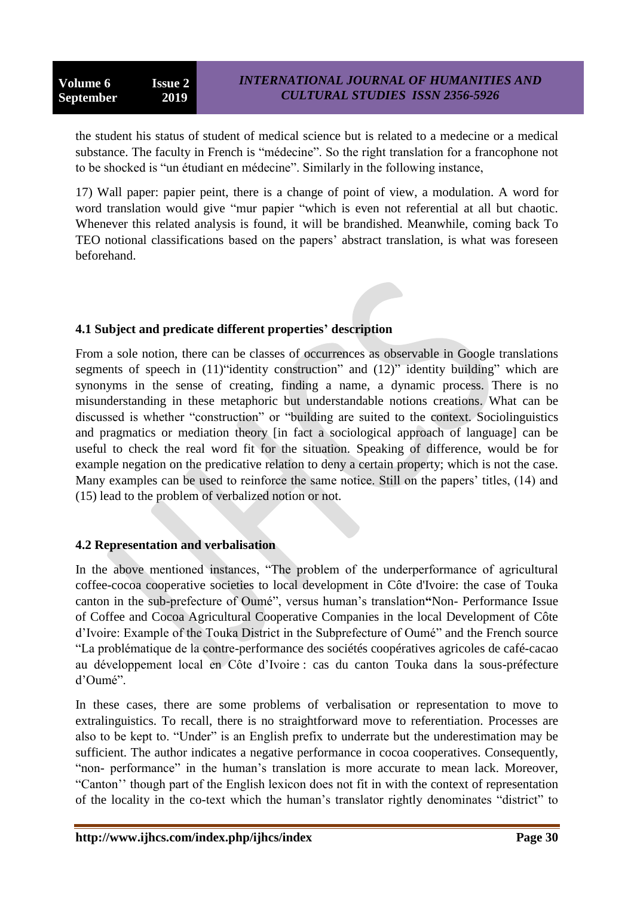the student his status of student of medical science but is related to a medecine or a medical substance. The faculty in French is "médecine". So the right translation for a francophone not to be shocked is "un étudiant en médecine". Similarly in the following instance,

17) Wall paper: papier peint, there is a change of point of view, a modulation. A word for word translation would give "mur papier "which is even not referential at all but chaotic. Whenever this related analysis is found, it will be brandished. Meanwhile, coming back To TEO notional classifications based on the papers" abstract translation, is what was foreseen beforehand.

# **4.1 Subject and predicate different properties' description**

From a sole notion, there can be classes of occurrences as observable in Google translations segments of speech in (11)"identity construction" and (12)" identity building" which are synonyms in the sense of creating, finding a name, a dynamic process. There is no misunderstanding in these metaphoric but understandable notions creations. What can be discussed is whether "construction" or "building are suited to the context. Sociolinguistics and pragmatics or mediation theory [in fact a sociological approach of language] can be useful to check the real word fit for the situation. Speaking of difference, would be for example negation on the predicative relation to deny a certain property; which is not the case. Many examples can be used to reinforce the same notice. Still on the papers' titles, (14) and (15) lead to the problem of verbalized notion or not.

# **4.2 Representation and verbalisation**

In the above mentioned instances, "The problem of the underperformance of agricultural coffee-cocoa cooperative societies to local development in Côte d'Ivoire: the case of Touka canton in the sub-prefecture of Oumé", versus human"s translation**"**Non- Performance Issue of Coffee and Cocoa Agricultural Cooperative Companies in the local Development of Côte d"Ivoire: Example of the Touka District in the Subprefecture of Oumé" and the French source "La problématique de la contre-performance des sociétés coopératives agricoles de café-cacao au développement local en Côte d"Ivoire : cas du canton Touka dans la sous-préfecture d"Oumé".

In these cases, there are some problems of verbalisation or representation to move to extralinguistics. To recall, there is no straightforward move to referentiation. Processes are also to be kept to. "Under" is an English prefix to underrate but the underestimation may be sufficient. The author indicates a negative performance in cocoa cooperatives. Consequently, "non- performance" in the human"s translation is more accurate to mean lack. Moreover, "Canton"" though part of the English lexicon does not fit in with the context of representation of the locality in the co-text which the human"s translator rightly denominates "district" to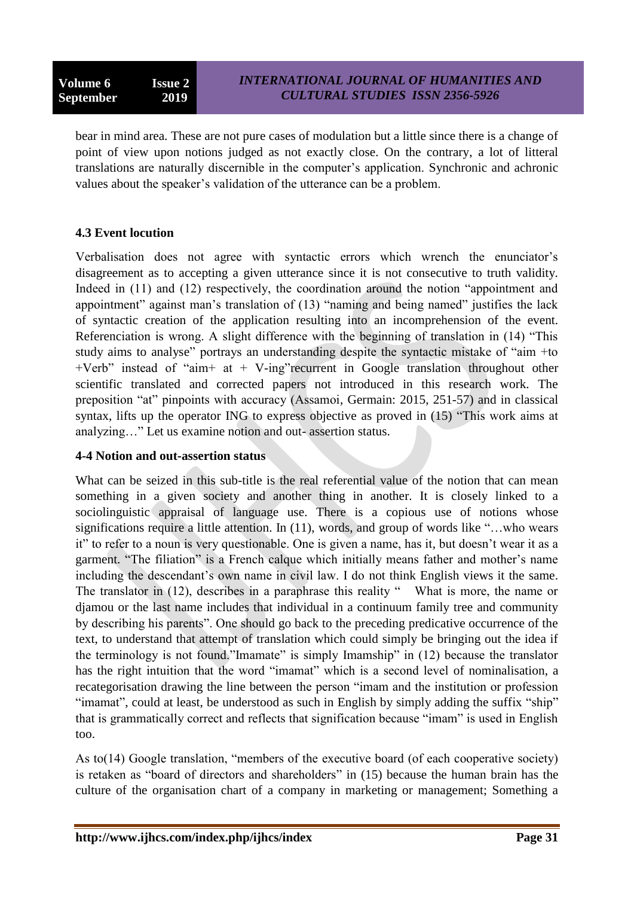bear in mind area. These are not pure cases of modulation but a little since there is a change of point of view upon notions judged as not exactly close. On the contrary, a lot of litteral translations are naturally discernible in the computer"s application. Synchronic and achronic values about the speaker"s validation of the utterance can be a problem.

# **4.3 Event locution**

Verbalisation does not agree with syntactic errors which wrench the enunciator"s disagreement as to accepting a given utterance since it is not consecutive to truth validity. Indeed in (11) and (12) respectively, the coordination around the notion "appointment and appointment" against man"s translation of (13) "naming and being named" justifies the lack of syntactic creation of the application resulting into an incomprehension of the event. Referenciation is wrong. A slight difference with the beginning of translation in (14) "This study aims to analyse" portrays an understanding despite the syntactic mistake of "aim +to +Verb" instead of "aim+ at + V-ing"recurrent in Google translation throughout other scientific translated and corrected papers not introduced in this research work. The preposition "at" pinpoints with accuracy (Assamoi, Germain: 2015, 251-57) and in classical syntax, lifts up the operator ING to express objective as proved in (15) "This work aims at analyzing…" Let us examine notion and out- assertion status.

# **4-4 Notion and out-assertion status**

What can be seized in this sub-title is the real referential value of the notion that can mean something in a given society and another thing in another. It is closely linked to a sociolinguistic appraisal of language use. There is a copious use of notions whose significations require a little attention. In (11), words, and group of words like "...who wears it" to refer to a noun is very questionable. One is given a name, has it, but doesn"t wear it as a garment. "The filiation" is a French calque which initially means father and mother"s name including the descendant's own name in civil law. I do not think English views it the same. The translator in (12), describes in a paraphrase this reality "What is more, the name or djamou or the last name includes that individual in a continuum family tree and community by describing his parents". One should go back to the preceding predicative occurrence of the text, to understand that attempt of translation which could simply be bringing out the idea if the terminology is not found."Imamate" is simply Imamship" in (12) because the translator has the right intuition that the word "imamat" which is a second level of nominalisation, a recategorisation drawing the line between the person "imam and the institution or profession "imamat", could at least, be understood as such in English by simply adding the suffix "ship" that is grammatically correct and reflects that signification because "imam" is used in English too.

As to(14) Google translation, "members of the executive board (of each cooperative society) is retaken as "board of directors and shareholders" in (15) because the human brain has the culture of the organisation chart of a company in marketing or management; Something a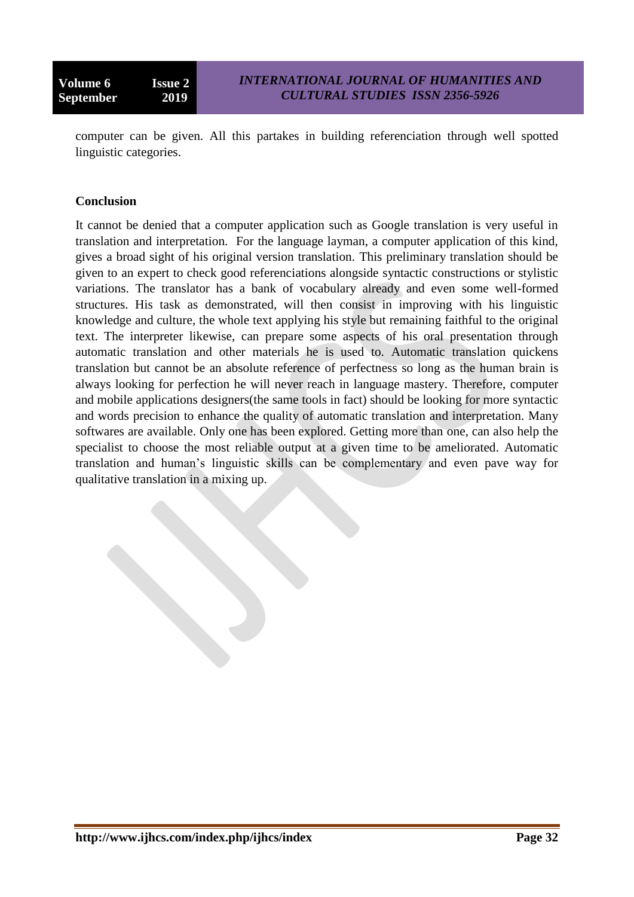computer can be given. All this partakes in building referenciation through well spotted linguistic categories.

#### **Conclusion**

It cannot be denied that a computer application such as Google translation is very useful in translation and interpretation. For the language layman, a computer application of this kind, gives a broad sight of his original version translation. This preliminary translation should be given to an expert to check good referenciations alongside syntactic constructions or stylistic variations. The translator has a bank of vocabulary already and even some well-formed structures. His task as demonstrated, will then consist in improving with his linguistic knowledge and culture, the whole text applying his style but remaining faithful to the original text. The interpreter likewise, can prepare some aspects of his oral presentation through automatic translation and other materials he is used to. Automatic translation quickens translation but cannot be an absolute reference of perfectness so long as the human brain is always looking for perfection he will never reach in language mastery. Therefore, computer and mobile applications designers(the same tools in fact) should be looking for more syntactic and words precision to enhance the quality of automatic translation and interpretation. Many softwares are available. Only one has been explored. Getting more than one, can also help the specialist to choose the most reliable output at a given time to be ameliorated. Automatic translation and human"s linguistic skills can be complementary and even pave way for qualitative translation in a mixing up.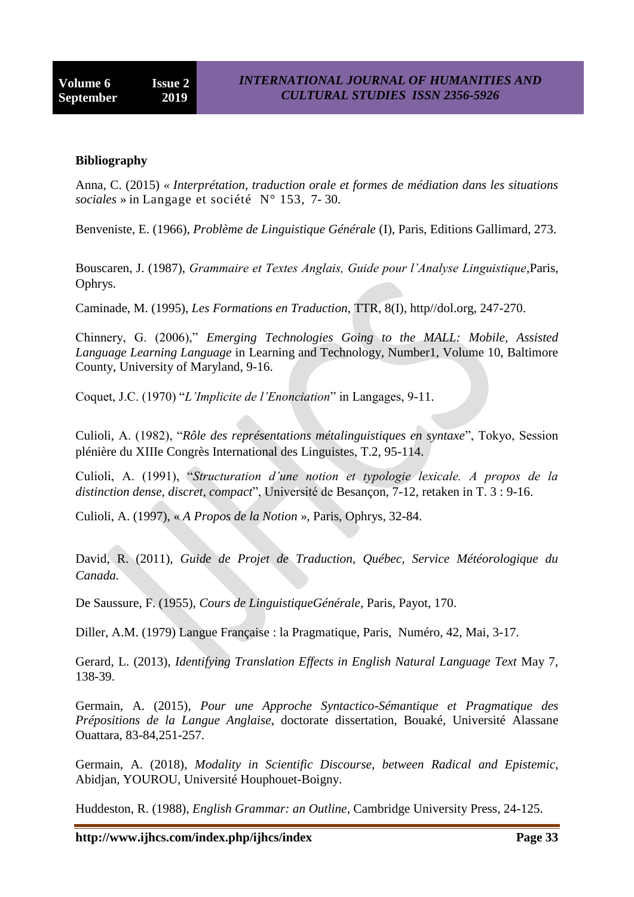#### **Bibliography**

[Anna, C.](https://www.cairn.info/publications-de-Anna%20Claudia-Ticca--137421.htm) (2015) *« Interprétation, traduction orale et formes de médiation dans les situations sociales* » in [Langage et société](https://www.cairn.info/revue-langage-et-societe.htm) N° [153,](https://www.cairn.info/revue-langage-et-societe-2015-3.htm) 7- 30.

Benveniste, E. (1966), *Problème de Linguistique Générale* (I), Paris, Editions Gallimard, 273.

Bouscaren, J. (1987), *Grammaire et Textes Anglais, Guide pour l'Analyse Linguistique*,Paris, Ophrys.

Caminade, M. (1995), *Les Formations en Traduction,* TTR, 8(I), http//dol.org, 247-270.

Chinnery, G. (2006)," *Emerging Technologies Going to the MALL: Mobile, Assisted Language Learning Language* in Learning and Technology, Number1, Volume 10, Baltimore County, University of Maryland, 9-16.

Coquet, J.C. (1970) "*L'Implicite de l'Enonciation*" in Langages, 9-11.

Culioli, A. (1982), "*Rôle des représentations métalinguistiques en syntaxe*", Tokyo, Session plénière du XIIIe Congrès International des Linguistes, T.2, 95-114.

Culioli, A. (1991), "*Structuration d'une notion et typologie lexicale. A propos de la distinction dense, discret, compact*", Université de Besançon, 7-12, retaken in T. 3 : 9-16.

Culioli, A. (1997), « *A Propos de la Notion* », Paris, Ophrys, 32-84.

David, R. (2011), *Guide de Projet de Traduction, Québec, Service Météorologique du Canada.*

De Saussure, F. (1955), *Cours de LinguistiqueGénérale*, Paris, Payot, 170.

Diller, A.M. (1979) Langue Française : la Pragmatique, Paris, Numéro, 42, Mai, 3-17.

Gerard, L. (2013), *Identifying Translation Effects in English Natural Language Text* May 7, 138-39.

Germain, A. (2015), *Pour une Approche Syntactico-Sémantique et Pragmatique des Prépositions de la Langue Anglaise*, doctorate dissertation, Bouaké, Université Alassane Ouattara, 83-84,251-257.

Germain, A. (2018), *Modality in Scientific Discourse, between Radical and Epistemic*, Abidjan, YOUROU, Université Houphouet-Boigny.

Huddeston, R. (1988), *English Grammar: an Outline*, Cambridge University Press, 24-125.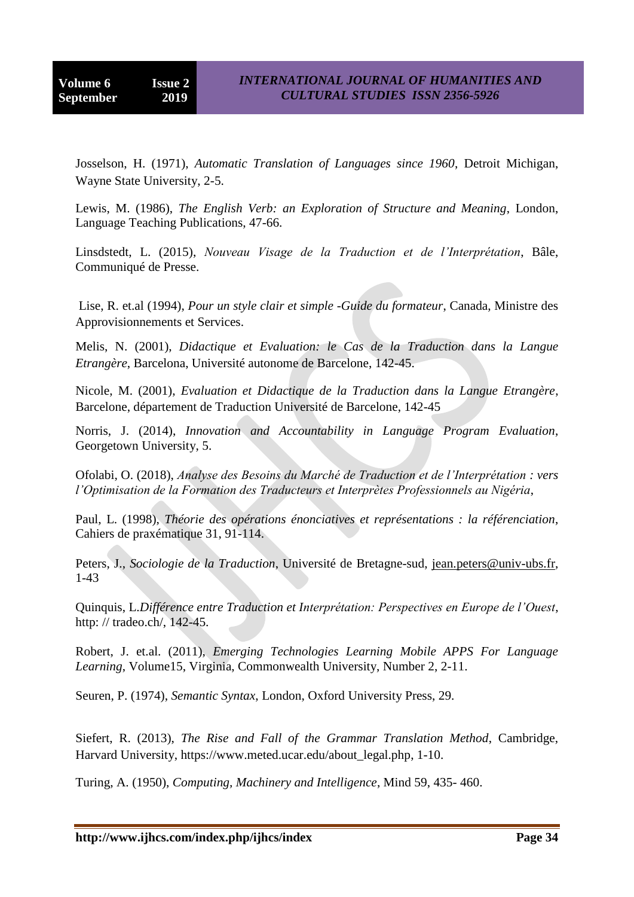Josselson, H. (1971), *Automatic Translation of Languages since 1960*, Detroit Michigan, Wayne State University, 2-5.

Lewis, M. (1986), *The English Verb: an Exploration of Structure and Meaning*, London, Language Teaching Publications, 47-66.

Linsdstedt, L. (2015), *Nouveau Visage de la Traduction et de l'Interprétation*, Bâle, Communiqué de Presse.

Lise, R. et.al (1994), *Pour un style clair et simple -Guide du formateur*, Canada, Ministre des Approvisionnements et Services.

Melis, N. (2001), *Didactique et Evaluation: le Cas de la Traduction dans la Langue Etrangère*, Barcelona, Université autonome de Barcelone, 142-45.

Nicole, M. (2001), *Evaluation et Didactique de la Traduction dans la Langue Etrangère*, Barcelone, département de Traduction Université de Barcelone, 142-45

Norris, J. (2014), *Innovation and Accountability in Language Program Evaluation*, Georgetown University, 5.

Ofolabi, O. (2018), *Analyse des Besoins du Marché de Traduction et de l'Interprétation : vers l'Optimisation de la Formation des Traducteurs et Interprètes Professionnels au Nigéria*,

Paul, L. (1998), *Théorie des opérations énonciatives et représentations : la référenciation*, Cahiers de praxématique 31, 91-114.

Peters, J., *Sociologie de la Traduction*, Université de Bretagne-sud, [jean.peters@univ-ubs.fr,](mailto:jean.peters@univ-ubs.fr) 1-43

Quinquis, L.*Différence entre Traduction et Interprétation: Perspectives en Europe de l'Ouest*, http: // tradeo.ch/, 142-45.

Robert, J. et.al. (2011), *Emerging Technologies Learning Mobile APPS For Language Learning*, Volume15, Virginia, Commonwealth University, Number 2, 2-11.

Seuren, P. (1974), *Semantic Syntax*, London, Oxford University Press, 29.

Siefert, R. (2013), *The Rise and Fall of the Grammar Translation Method*, Cambridge, Harvard University, [https://www.meted.ucar.edu/about\\_legal.php,](https://www.meted.ucar.edu/about_legal.php) 1-10.

Turing, A. (1950), *Computing, Machinery and Intelligence*, Mind 59, 435- 460.